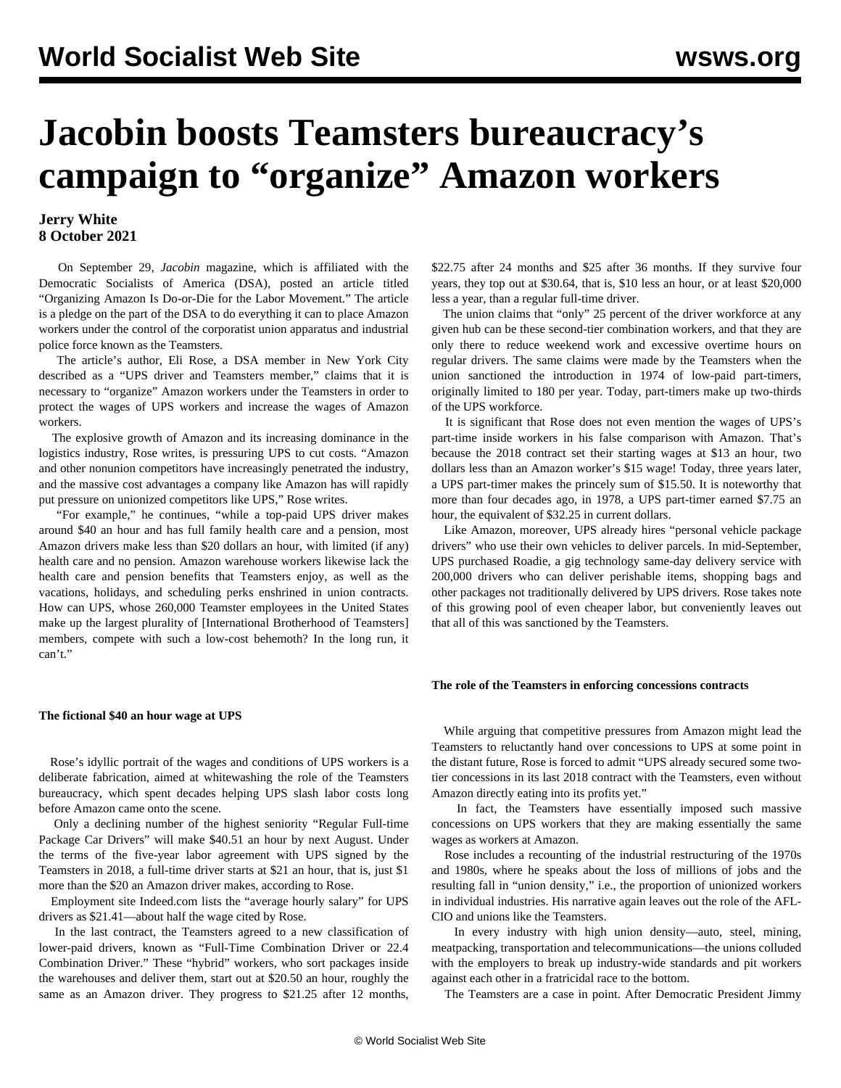# **Jacobin boosts Teamsters bureaucracy's campaign to "organize" Amazon workers**

# **Jerry White 8 October 2021**

 On September 29, *Jacobin* magazine, which is affiliated with the Democratic Socialists of America (DSA), posted an article titled "Organizing Amazon Is Do-or-Die for the Labor Movement." The article is a pledge on the part of the DSA to do everything it can to place Amazon workers under the control of the corporatist union apparatus and industrial police force known as the Teamsters.

 The article's author, Eli Rose, a DSA member in New York City described as a "UPS driver and Teamsters member," claims that it is necessary to "organize" Amazon workers under the Teamsters in order to protect the wages of UPS workers and increase the wages of Amazon workers.

 The explosive growth of Amazon and its increasing dominance in the logistics industry, Rose writes, is pressuring UPS to cut costs. "Amazon and other nonunion competitors have increasingly penetrated the industry, and the massive cost advantages a company like Amazon has will rapidly put pressure on unionized competitors like UPS," Rose writes.

 "For example," he continues, "while a top-paid UPS driver makes around \$40 an hour and has full family health care and a pension, most Amazon drivers make less than \$20 dollars an hour, with limited (if any) health care and no pension. Amazon warehouse workers likewise lack the health care and pension benefits that Teamsters enjoy, as well as the vacations, holidays, and scheduling perks enshrined in union contracts. How can UPS, whose 260,000 Teamster employees in the United States make up the largest plurality of [International Brotherhood of Teamsters] members, compete with such a low-cost behemoth? In the long run, it can't."

## **The fictional \$40 an hour wage at UPS**

 Rose's idyllic portrait of the wages and conditions of UPS workers is a deliberate fabrication, aimed at whitewashing the role of the Teamsters bureaucracy, which spent decades helping UPS slash labor costs long before Amazon came onto the scene.

 Only a declining number of the highest seniority "Regular Full-time Package Car Drivers" will make \$40.51 an hour by next August. Under the terms of the five-year labor agreement with UPS signed by the Teamsters in 2018, a full-time driver starts at \$21 an hour, that is, just \$1 more than the \$20 an Amazon driver makes, according to Rose.

 Employment site Indeed.com lists the "average hourly salary" for UPS drivers as \$21.41—about half the wage cited by Rose.

 In the last contract, the Teamsters agreed to a new classification of lower-paid drivers, known as "Full-Time Combination Driver or 22.4 Combination Driver." These "hybrid" workers, who sort packages inside the warehouses and deliver them, start out at \$20.50 an hour, roughly the same as an Amazon driver. They progress to \$21.25 after 12 months,

\$22.75 after 24 months and \$25 after 36 months. If they survive four years, they top out at \$30.64, that is, \$10 less an hour, or at least \$20,000 less a year, than a regular full-time driver.

 The union claims that "only" 25 percent of the driver workforce at any given hub can be these second-tier combination workers, and that they are only there to reduce weekend work and excessive overtime hours on regular drivers. The same claims were made by the Teamsters when the union sanctioned the introduction in 1974 of low-paid part-timers, originally limited to 180 per year. Today, part-timers make up two-thirds of the UPS workforce.

 It is significant that Rose does not even mention the wages of UPS's part-time inside workers in his false comparison with Amazon. That's because the 2018 contract set their starting wages at \$13 an hour, two dollars less than an Amazon worker's \$15 wage! Today, three years later, a UPS part-timer makes the princely sum of \$15.50. It is noteworthy that more than four decades ago, in 1978, a UPS part-timer earned \$7.75 an hour, the equivalent of \$32.25 in current dollars.

 Like Amazon, moreover, UPS already hires "personal vehicle package drivers" who use their own vehicles to deliver parcels. In mid-September, UPS purchased Roadie, a gig technology same-day delivery service with 200,000 drivers who can deliver perishable items, shopping bags and other packages not traditionally delivered by UPS drivers. Rose takes note of this growing pool of even cheaper labor, but conveniently leaves out that all of this was sanctioned by the Teamsters.

## **The role of the Teamsters in enforcing concessions contracts**

 While arguing that competitive pressures from Amazon might lead the Teamsters to reluctantly hand over concessions to UPS at some point in the distant future, Rose is forced to admit "UPS already secured some twotier concessions in its last 2018 contract with the Teamsters, even without Amazon directly eating into its profits yet."

 In fact, the Teamsters have essentially imposed such massive concessions on UPS workers that they are making essentially the same wages as workers at Amazon.

 Rose includes a recounting of the industrial restructuring of the 1970s and 1980s, where he speaks about the loss of millions of jobs and the resulting fall in "union density," i.e., the proportion of unionized workers in individual industries. His narrative again leaves out the role of the AFL-CIO and unions like the Teamsters.

 In every industry with high union density—auto, steel, mining, meatpacking, transportation and telecommunications—the unions colluded with the employers to break up industry-wide standards and pit workers against each other in a fratricidal race to the bottom.

The Teamsters are a case in point. After Democratic President Jimmy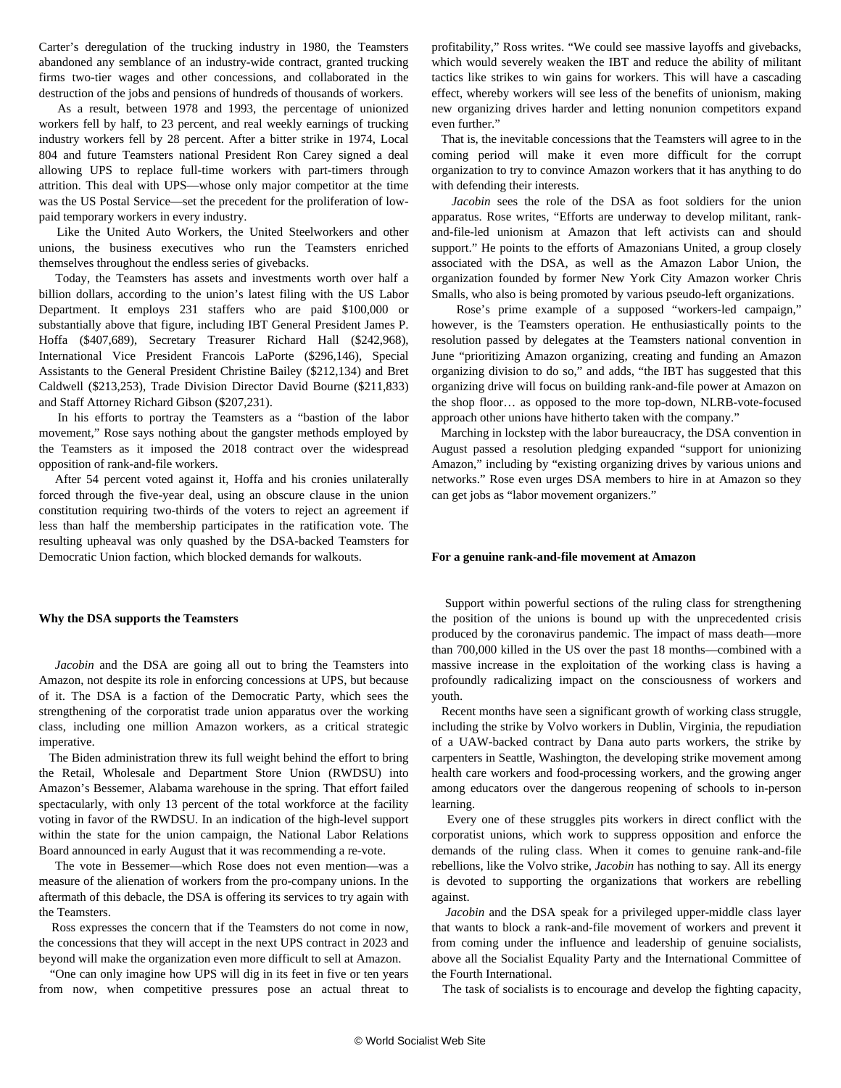Carter's deregulation of the trucking industry in 1980, the Teamsters abandoned any semblance of an industry-wide contract, granted trucking firms two-tier wages and other concessions, and collaborated in the destruction of the jobs and pensions of hundreds of thousands of workers.

 As a result, between 1978 and 1993, the percentage of unionized workers fell by half, to 23 percent, and real weekly earnings of trucking industry workers fell by 28 percent. After a bitter strike in 1974, Local 804 and future Teamsters national President Ron Carey signed a deal allowing UPS to replace full-time workers with part-timers through attrition. This deal with UPS—whose only major competitor at the time was the US Postal Service—set the precedent for the proliferation of lowpaid temporary workers in every industry.

 Like the United Auto Workers, the United Steelworkers and other unions, the business executives who run the Teamsters enriched themselves throughout the endless series of givebacks.

 Today, the Teamsters has assets and investments worth over half a billion dollars, according to the union's latest filing with the US Labor Department. It employs 231 staffers who are paid \$100,000 or substantially above that figure, including IBT General President James P. Hoffa (\$407,689), Secretary Treasurer Richard Hall (\$242,968), International Vice President Francois LaPorte (\$296,146), Special Assistants to the General President Christine Bailey (\$212,134) and Bret Caldwell (\$213,253), Trade Division Director David Bourne (\$211,833) and Staff Attorney Richard Gibson (\$207,231).

 In his efforts to portray the Teamsters as a "bastion of the labor movement," Rose says nothing about the gangster methods employed by the Teamsters as it imposed the 2018 contract over the widespread opposition of rank-and-file workers.

 After 54 percent voted against it, Hoffa and his cronies unilaterally forced through the five-year deal, using an obscure clause in the union constitution requiring two-thirds of the voters to reject an agreement if less than half the membership participates in the ratification vote. The resulting upheaval was only quashed by the DSA-backed Teamsters for Democratic Union faction, which blocked demands for walkouts.

#### **Why the DSA supports the Teamsters**

 *Jacobin* and the DSA are going all out to bring the Teamsters into Amazon, not despite its role in enforcing concessions at UPS, but because of it. The DSA is a faction of the Democratic Party, which sees the strengthening of the corporatist trade union apparatus over the working class, including one million Amazon workers, as a critical strategic imperative.

 The Biden administration [threw its full weight](/en/articles/2021/03/03/pers-m03.html) behind the effort to bring the Retail, Wholesale and Department Store Union (RWDSU) into Amazon's Bessemer, Alabama warehouse in the spring. That effort failed spectacularly, with only 13 percent of the total workforce at the facility voting in favor of the RWDSU. In an indication of the high-level support within the state for the union campaign, the National Labor Relations Board [announced in early August](/en/articles/2021/08/04/nlrb-a04.html) that it was recommending a re-vote.

 The vote in Bessemer—which Rose does not even mention—was a measure of the alienation of workers from the pro-company unions. In the aftermath of this debacle, the DSA is offering its services to try again with the Teamsters.

 Ross expresses the concern that if the Teamsters do not come in now, the concessions that they will accept in the next UPS contract in 2023 and beyond will make the organization even more difficult to sell at Amazon.

 "One can only imagine how UPS will dig in its feet in five or ten years from now, when competitive pressures pose an actual threat to

profitability," Ross writes. "We could see massive layoffs and givebacks, which would severely weaken the IBT and reduce the ability of militant tactics like strikes to win gains for workers. This will have a cascading effect, whereby workers will see less of the benefits of unionism, making new organizing drives harder and letting nonunion competitors expand even further."

 That is, the inevitable concessions that the Teamsters will agree to in the coming period will make it even more difficult for the corrupt organization to try to convince Amazon workers that it has anything to do with defending their interests.

 *Jacobin* sees the role of the DSA as foot soldiers for the union apparatus. Rose writes, "Efforts are underway to develop militant, rankand-file-led unionism at Amazon that left activists can and should support." He points to the efforts of Amazonians United, a [group](/en/articles/2021/05/06/amaz-m06.html) closely associated with the DSA, as well as the Amazon Labor Union, the organization founded by former New York City Amazon worker Chris Smalls, who also is being [promoted](/en/articles/2020/09/07/pepa-s07.html) by various pseudo-left organizations.

 Rose's prime example of a supposed "workers-led campaign," however, is the Teamsters operation. He enthusiastically points to the resolution passed by delegates at the Teamsters national convention in June "prioritizing Amazon organizing, creating and funding an Amazon organizing division to do so," and adds, "the IBT has suggested that this organizing drive will focus on building rank-and-file power at Amazon on the shop floor… as opposed to the more top-down, NLRB-vote-focused approach other unions have hitherto taken with the company."

 Marching in lockstep with the labor bureaucracy, the DSA convention in August passed a resolution pledging expanded "support for unionizing Amazon," including by "existing organizing drives by various unions and networks." Rose even urges DSA members to hire in at Amazon so they can get jobs as "labor movement organizers."

#### **For a genuine rank-and-file movement at Amazon**

 Support within powerful sections of the ruling class for strengthening the position of the unions is bound up with the unprecedented crisis produced by the coronavirus pandemic. The impact of mass death—more than 700,000 killed in the US over the past 18 months—combined with a massive increase in the exploitation of the working class is having a profoundly radicalizing impact on the consciousness of workers and youth.

 Recent months have seen a significant growth of working class struggle, including the strike by Volvo workers in Dublin, Virginia, the repudiation of a UAW-backed contract by Dana auto parts workers, the strike by carpenters in Seattle, Washington, the developing strike movement among health care workers and food-processing workers, and the growing anger among educators over the dangerous reopening of schools to in-person learning.

 Every one of these struggles pits workers in direct conflict with the corporatist unions, which work to suppress opposition and enforce the demands of the ruling class. When it comes to genuine rank-and-file rebellions, like the Volvo strike, *Jacobin* has nothing to say. All its energy is devoted to supporting the organizations that workers are rebelling against.

 *Jacobin* and the DSA speak for a privileged upper-middle class layer that wants to block a rank-and-file movement of workers and prevent it from coming under the influence and leadership of genuine socialists, above all the Socialist Equality Party and the International Committee of the Fourth International.

The task of socialists is to encourage and develop the fighting capacity,